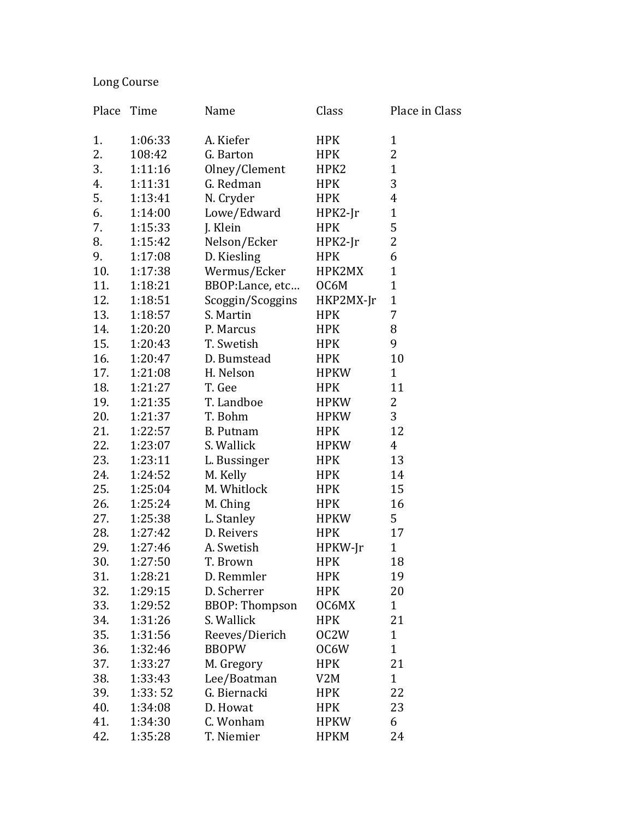## Long Course

| Place | Time    | Name                  | Class       | Place in Class |
|-------|---------|-----------------------|-------------|----------------|
| 1.    | 1:06:33 | A. Kiefer             | <b>HPK</b>  | $\mathbf{1}$   |
| 2.    | 108:42  | G. Barton             | <b>HPK</b>  | 2              |
| 3.    | 1:11:16 | Olney/Clement         | HPK2        | $\mathbf{1}$   |
| 4.    | 1:11:31 | G. Redman             | <b>HPK</b>  | 3              |
| 5.    | 1:13:41 | N. Cryder             | <b>HPK</b>  | $\overline{4}$ |
| 6.    | 1:14:00 | Lowe/Edward           | $HPK2-Ir$   | $\mathbf{1}$   |
| 7.    | 1:15:33 | J. Klein              | <b>HPK</b>  | 5              |
| 8.    | 1:15:42 | Nelson/Ecker          | $HPK2-Ir$   | $\overline{2}$ |
| 9.    | 1:17:08 | D. Kiesling           | <b>HPK</b>  | 6              |
| 10.   | 1:17:38 | Wermus/Ecker          | HPK2MX      | $\mathbf{1}$   |
| 11.   | 1:18:21 | BBOP:Lance, etc       | OC6M        | $\mathbf{1}$   |
| 12.   | 1:18:51 | Scoggin/Scoggins      | HKP2MX-Jr   | $\mathbf{1}$   |
| 13.   | 1:18:57 | S. Martin             | <b>HPK</b>  | 7              |
| 14.   | 1:20:20 | P. Marcus             | <b>HPK</b>  | 8              |
| 15.   | 1:20:43 | T. Swetish            | <b>HPK</b>  | 9              |
| 16.   | 1:20:47 | D. Bumstead           | <b>HPK</b>  | 10             |
| 17.   | 1:21:08 | H. Nelson             | <b>HPKW</b> | $\mathbf{1}$   |
| 18.   | 1:21:27 | T. Gee                | <b>HPK</b>  | 11             |
| 19.   | 1:21:35 | T. Landboe            | <b>HPKW</b> | $\overline{2}$ |
| 20.   | 1:21:37 | T. Bohm               | <b>HPKW</b> | 3              |
| 21.   | 1:22:57 | <b>B.</b> Putnam      | <b>HPK</b>  | 12             |
| 22.   | 1:23:07 | S. Wallick            | <b>HPKW</b> | $\overline{4}$ |
| 23.   | 1:23:11 | L. Bussinger          | <b>HPK</b>  | 13             |
| 24.   | 1:24:52 | M. Kelly              | <b>HPK</b>  | 14             |
| 25.   | 1:25:04 | M. Whitlock           | <b>HPK</b>  | 15             |
| 26.   | 1:25:24 | M. Ching              | <b>HPK</b>  | 16             |
| 27.   | 1:25:38 | L. Stanley            | <b>HPKW</b> | 5              |
| 28.   | 1:27:42 | D. Reivers            | <b>HPK</b>  | 17             |
| 29.   | 1:27:46 | A. Swetish            | HPKW-Jr     | $\mathbf 1$    |
| 30.   | 1:27:50 | T. Brown              | <b>HPK</b>  | 18             |
| 31.   | 1:28:21 | D. Remmler            | <b>HPK</b>  | 19             |
| 32.   | 1:29:15 | D. Scherrer           | <b>HPK</b>  | 20             |
| 33.   | 1:29:52 | <b>BBOP: Thompson</b> | OC6MX       | $\mathbf{1}$   |
| 34.   | 1:31:26 | S. Wallick            | <b>HPK</b>  | 21             |
| 35.   | 1:31:56 | Reeves/Dierich        | OC2W        | $\mathbf{1}$   |
| 36.   | 1:32:46 | <b>BBOPW</b>          | OC6W        | $\mathbf{1}$   |
| 37.   | 1:33:27 | M. Gregory            | <b>HPK</b>  | 21             |
| 38.   | 1:33:43 | Lee/Boatman           | V2M         | $\mathbf{1}$   |
| 39.   | 1:33:52 | G. Biernacki          | HPK         | 22             |
| 40.   | 1:34:08 | D. Howat              | <b>HPK</b>  | 23             |
| 41.   | 1:34:30 | C. Wonham             | <b>HPKW</b> | 6              |
| 42.   | 1:35:28 | T. Niemier            | <b>HPKM</b> | 24             |
|       |         |                       |             |                |